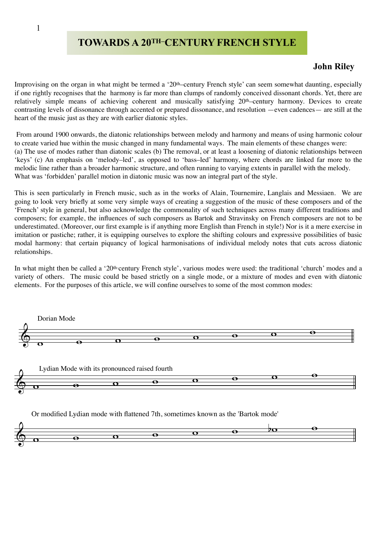## 1

## **TOWARDS A 20TH–CENTURY FRENCH STYLE**

## **John Riley**

Improvising on the organ in what might be termed a '20<sup>th</sup>-century French style' can seem somewhat daunting, especially if one rightly recognises that the harmony is far more than clumps of randomly conceived dissonant chords. Yet, there are relatively simple means of achieving coherent and musically satisfying 20th–century harmony. Devices to create contrasting levels of dissonance through accented or prepared dissonance, and resolution —even cadences— are still at the heart of the music just as they are with earlier diatonic styles.

 From around 1900 onwards, the diatonic relationships between melody and harmony and means of using harmonic colour to create varied hue within the music changed in many fundamental ways. The main elements of these changes were: (a) The use of modes rather than diatonic scales (b) The removal, or at least a loosening of diatonic relationships between 'keys' (c) An emphasis on 'melody–led', as opposed to 'bass–led' harmony, where chords are linked far more to the melodic line rather than a broader harmonic structure, and often running to varying extents in parallel with the melody. What was 'forbidden' parallel motion in diatonic music was now an integral part of the style.

This is seen particularly in French music, such as in the works of Alain, Tournemire, Langlais and Messiaen. We are going to look very briefly at some very simple ways of creating a suggestion of the music of these composers and of the 'French' style in general, but also acknowledge the commonality of such techniques across many different traditions and composers; for example, the influences of such composers as Bartok and Stravinsky on French composers are not to be underestimated. (Moreover, our first example is if anything more English than French in style!) Nor is it a mere exercise in imitation or pastiche; rather, it is equipping ourselves to explore the shifting colours and expressive possibilities of basic modal harmony: that certain piquancy of logical harmonisations of individual melody notes that cuts across diatonic relationships.

In what might then be called a '20<sup>th-</sup>century French style', various modes were used: the traditional 'church' modes and a variety of others. The music could be based strictly on a single mode, or a mixture of modes and even with diatonic elements. For the purposes of this article, we will confine ourselves to some of the most common modes:





Or modified Lydian mode with flattened 7th, sometimes known as the 'Bartok mode'

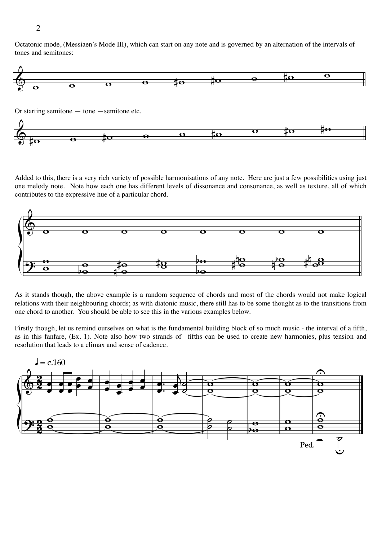Octatonic mode, (Messiaen's Mode III), which can start on any note and is governed by an alternation of the intervals of tones and semitones:



Or starting semitone — tone —semitone etc.



Added to this, there is a very rich variety of possible harmonisations of any note. Here are just a few possibilities using just one melody note. Note how each one has different levels of dissonance and consonance, as well as texture, all of which contributes to the expressive hue of a particular chord.



As it stands though, the above example is a random sequence of chords and most of the chords would not make logical relations with their neighbouring chords; as with diatonic music, there still has to be some thought as to the transitions from one chord to another. You should be able to see this in the various examples below.

Firstly though, let us remind ourselves on what is the fundamental building block of so much music - the interval of a fifth, as in this fanfare, (Ex. 1). Note also how two strands of fifths can be used to create new harmonies, plus tension and resolution that leads to a climax and sense of cadence.



2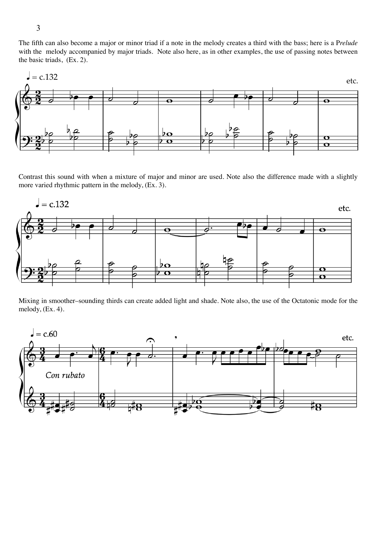The fifth can also become a major or minor triad if a note in the melody creates a third with the bass; here is a P*relude* with the melody accompanied by major triads. Note also here, as in other examples, the use of passing notes between the basic triads, (Ex. 2).



Contrast this sound with when a mixture of major and minor are used. Note also the difference made with a slightly more varied rhythmic pattern in the melody, (Ex. 3).



Mixing in smoother–sounding thirds can create added light and shade. Note also, the use of the Octatonic mode for the melody, (Ex. 4).

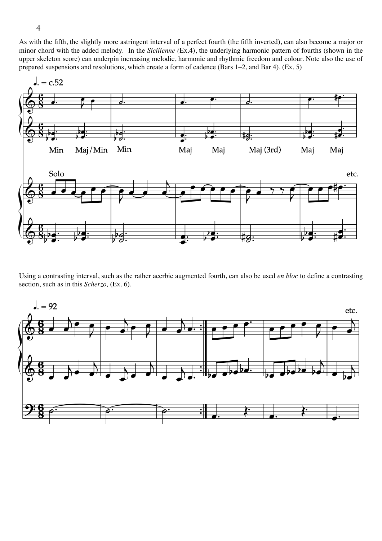As with the fifth, the slightly more astringent interval of a perfect fourth (the fifth inverted), can also become a major or minor chord with the added melody. In the *Sicilienne (*Ex.4), the underlying harmonic pattern of fourths (shown in the upper skeleton score) can underpin increasing melodic, harmonic and rhythmic freedom and colour. Note also the use of prepared suspensions and resolutions, which create a form of cadence (Bars 1–2, and Bar 4). (Ex. 5)



Using a contrasting interval, such as the rather acerbic augmented fourth, can also be used *en bloc* to define a contrasting section, such as in this *Scherzo,* (Ex. 6).